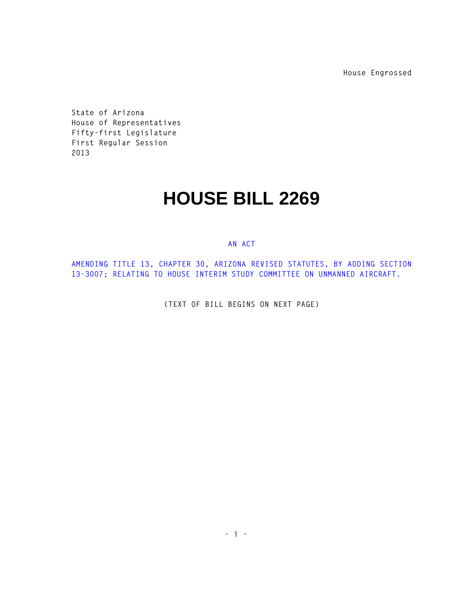**House Engrossed**

**State of Arizona House of Representatives Fifty-first Legislature First Regular Session 2013** 

## **HOUSE BILL 2269**

## **AN ACT**

**AMENDING TITLE 13, CHAPTER 30, ARIZONA REVISED STATUTES, BY ADDING SECTION 13-3007; RELATING TO HOUSE INTERIM STUDY COMMITTEE ON UNMANNED AIRCRAFT.** 

**(TEXT OF BILL BEGINS ON NEXT PAGE)**